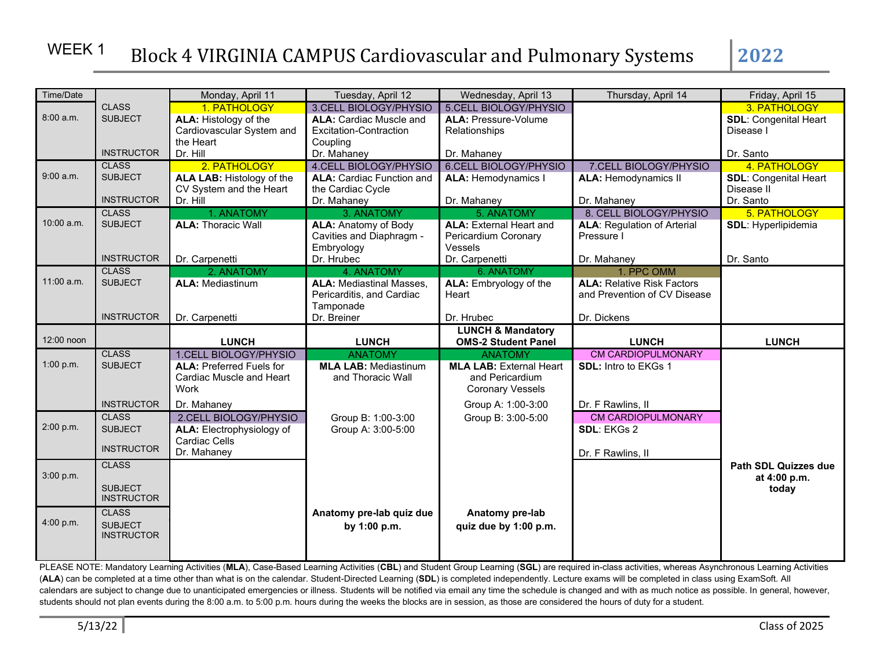| Time/Date  |                   | Monday, April 11                           | Tuesday, April 12                | Wednesday, April 13                                        | Thursday, April 14                       | Friday, April 15             |
|------------|-------------------|--------------------------------------------|----------------------------------|------------------------------------------------------------|------------------------------------------|------------------------------|
|            | <b>CLASS</b>      | 1. PATHOLOGY                               | 3. CELL BIOLOGY/PHYSIO           | 5.CELL BIOLOGY/PHYSIO                                      |                                          | 3. PATHOLOGY                 |
| 8:00 a.m.  | <b>SUBJECT</b>    | ALA: Histology of the                      | <b>ALA:</b> Cardiac Muscle and   | <b>ALA: Pressure-Volume</b>                                |                                          | <b>SDL: Congenital Heart</b> |
|            |                   | Cardiovascular System and                  | <b>Excitation-Contraction</b>    | Relationships                                              |                                          | Disease I                    |
|            |                   | the Heart                                  | Coupling                         |                                                            |                                          |                              |
|            | <b>INSTRUCTOR</b> | Dr. Hill                                   | Dr. Mahaney                      | Dr. Mahaney                                                |                                          | Dr. Santo                    |
|            | <b>CLASS</b>      | 2. PATHOLOGY                               | 4. CELL BIOLOGY/PHYSIO           | <b>6.CELL BIOLOGY/PHYSIO</b>                               | 7. CELL BIOLOGY/PHYSIO                   | 4. PATHOLOGY                 |
| 9:00 a.m.  | <b>SUBJECT</b>    | ALA LAB: Histology of the                  | <b>ALA: Cardiac Function and</b> | <b>ALA: Hemodynamics I</b>                                 | <b>ALA: Hemodynamics II</b>              | <b>SDL: Congenital Heart</b> |
|            |                   | CV System and the Heart                    | the Cardiac Cycle                |                                                            |                                          | Disease II                   |
|            | <b>INSTRUCTOR</b> | Dr. Hill                                   | Dr. Mahaney                      | Dr. Mahaney                                                | Dr. Mahaney                              | Dr. Santo                    |
|            | <b>CLASS</b>      | 1. ANATOMY                                 | 3. ANATOMY                       | 5. ANATOMY                                                 | 8. CELL BIOLOGY/PHYSIO                   | 5. PATHOLOGY                 |
| 10:00 a.m. | <b>SUBJECT</b>    | <b>ALA: Thoracic Wall</b>                  | <b>ALA: Anatomy of Body</b>      | <b>ALA:</b> External Heart and                             | <b>ALA: Regulation of Arterial</b>       | <b>SDL: Hyperlipidemia</b>   |
|            |                   |                                            | Cavities and Diaphragm -         | Pericardium Coronary                                       | Pressure I                               |                              |
|            |                   |                                            | Embryology                       | Vessels                                                    |                                          |                              |
|            | <b>INSTRUCTOR</b> | Dr. Carpenetti                             | Dr. Hrubec                       | Dr. Carpenetti                                             | Dr. Mahaney                              | Dr. Santo                    |
| 11:00 a.m. | <b>CLASS</b>      | 2. ANATOMY                                 | 4. ANATOMY                       | 6. ANATOMY                                                 | 1. PPC OMM                               |                              |
|            | <b>SUBJECT</b>    | <b>ALA: Mediastinum</b>                    | <b>ALA: Mediastinal Masses,</b>  | ALA: Embryology of the                                     | <b>ALA: Relative Risk Factors</b>        |                              |
|            |                   |                                            | Pericarditis, and Cardiac        | Heart                                                      | and Prevention of CV Disease             |                              |
|            | <b>INSTRUCTOR</b> | Dr. Carpenetti                             | Tamponade<br>Dr. Breiner         | Dr. Hrubec                                                 | Dr. Dickens                              |                              |
|            |                   |                                            |                                  |                                                            |                                          |                              |
| 12:00 noon |                   | <b>LUNCH</b>                               | <b>LUNCH</b>                     | <b>LUNCH &amp; Mandatory</b><br><b>OMS-2 Student Panel</b> | <b>LUNCH</b>                             | <b>LUNCH</b>                 |
|            | <b>CLASS</b>      | <b>1.CELL BIOLOGY/PHYSIO</b>               | <b>ANATOMY</b>                   | <b>ANATOMY</b>                                             | <b>CM CARDIOPULMONARY</b>                |                              |
| 1:00 p.m.  | <b>SUBJECT</b>    | <b>ALA: Preferred Fuels for</b>            | <b>MLA LAB: Mediastinum</b>      | <b>MLA LAB: External Heart</b>                             | SDL: Intro to EKGs 1                     |                              |
|            |                   |                                            |                                  |                                                            |                                          |                              |
|            |                   | Cardiac Muscle and Heart                   | and Thoracic Wall                | and Pericardium                                            |                                          |                              |
|            |                   | <b>Work</b>                                |                                  | <b>Coronary Vessels</b>                                    |                                          |                              |
|            | <b>INSTRUCTOR</b> |                                            |                                  |                                                            |                                          |                              |
|            | <b>CLASS</b>      | Dr. Mahaney                                |                                  | Group A: 1:00-3:00                                         | Dr. F Rawlins, II                        |                              |
| 2:00 p.m.  | <b>SUBJECT</b>    | 2. CELL BIOLOGY/PHYSIO                     | Group B: 1:00-3:00               | Group B: 3:00-5:00                                         | <b>CM CARDIOPULMONARY</b><br>SDL: EKGs 2 |                              |
|            |                   | ALA: Electrophysiology of<br>Cardiac Cells | Group A: 3:00-5:00               |                                                            |                                          |                              |
|            | <b>INSTRUCTOR</b> | Dr. Mahaney                                |                                  |                                                            |                                          |                              |
|            | <b>CLASS</b>      |                                            |                                  |                                                            | Dr. F Rawlins, II                        | <b>Path SDL Quizzes due</b>  |
| 3:00 p.m.  |                   |                                            |                                  |                                                            |                                          |                              |
|            | <b>SUBJECT</b>    |                                            |                                  |                                                            |                                          | at 4:00 p.m.<br>today        |
|            | <b>INSTRUCTOR</b> |                                            |                                  |                                                            |                                          |                              |
|            | <b>CLASS</b>      |                                            | Anatomy pre-lab quiz due         | Anatomy pre-lab                                            |                                          |                              |
| 4:00 p.m.  | <b>SUBJECT</b>    |                                            | by 1:00 p.m.                     | quiz due by 1:00 p.m.                                      |                                          |                              |
|            | <b>INSTRUCTOR</b> |                                            |                                  |                                                            |                                          |                              |

PLEASE NOTE: Mandatory Learning Activities (**MLA**), Case-Based Learning Activities (**CBL**) and Student Group Learning (**SGL**) are required in-class activities, whereas Asynchronous Learning Activities (**ALA**) can be completed at a time other than what is on the calendar. Student-Directed Learning (**SDL**) is completed independently. Lecture exams will be completed in class using ExamSoft. All calendars are subject to change due to unanticipated emergencies or illness. Students will be notified via email any time the schedule is changed and with as much notice as possible. In general, however, students should not plan events during the 8:00 a.m. to 5:00 p.m. hours during the weeks the blocks are in session, as those are considered the hours of duty for a student.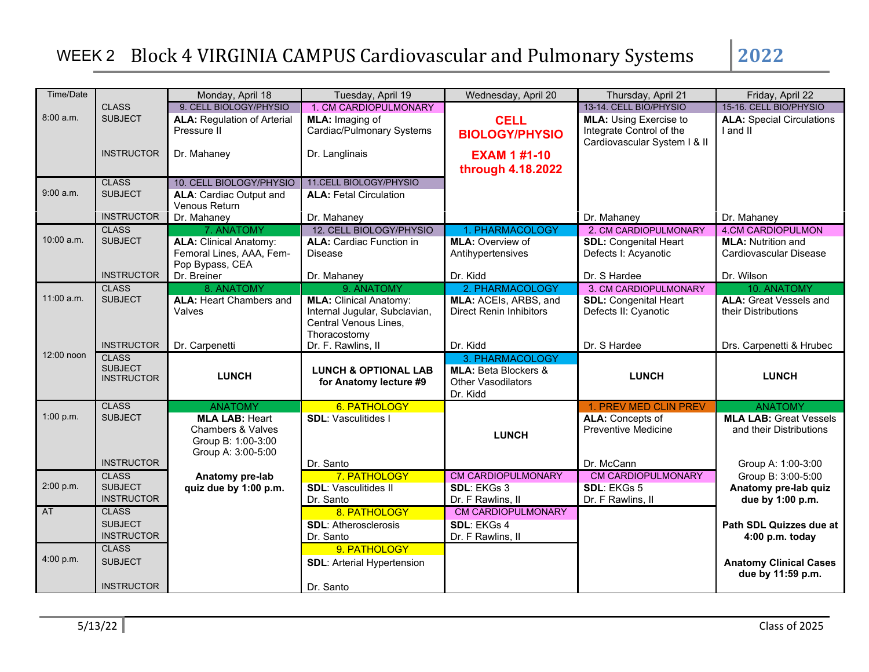# WEEK 2 Block 4 VIRGINIA CAMPUS Cardiovascular and Pulmonary Systems | 2022

| Time/Date    |                                     | Monday, April 18                   | Tuesday, April 19                 | Wednesday, April 20             | Thursday, April 21            | Friday, April 22                 |
|--------------|-------------------------------------|------------------------------------|-----------------------------------|---------------------------------|-------------------------------|----------------------------------|
|              | <b>CLASS</b>                        | 9. CELL BIOLOGY/PHYSIO             | 1. CM CARDIOPULMONARY             |                                 | 13-14. CELL BIO/PHYSIO        | 15-16. CELL BIO/PHYSIO           |
| 8:00 a.m.    | <b>SUBJECT</b>                      | <b>ALA: Regulation of Arterial</b> | <b>MLA:</b> Imaging of            | <b>CELL</b>                     | <b>MLA: Using Exercise to</b> | <b>ALA: Special Circulations</b> |
|              |                                     | Pressure II                        | Cardiac/Pulmonary Systems         | <b>BIOLOGY/PHYSIO</b>           | Integrate Control of the      | I and II                         |
|              |                                     |                                    |                                   |                                 | Cardiovascular System I & II  |                                  |
|              | <b>INSTRUCTOR</b>                   | Dr. Mahaney                        | Dr. Langlinais                    | <b>EXAM 1 #1-10</b>             |                               |                                  |
|              |                                     |                                    |                                   | through 4.18.2022               |                               |                                  |
|              | <b>CLASS</b>                        | 10. CELL BIOLOGY/PHYSIO            | 11. CELL BIOLOGY/PHYSIO           |                                 |                               |                                  |
| 9:00 a.m.    | <b>SUBJECT</b>                      | <b>ALA: Cardiac Output and</b>     | <b>ALA: Fetal Circulation</b>     |                                 |                               |                                  |
|              |                                     | Venous Return                      |                                   |                                 |                               |                                  |
|              | <b>INSTRUCTOR</b>                   | Dr. Mahaney                        | Dr. Mahaney                       |                                 | Dr. Mahaney                   | Dr. Mahaney                      |
|              | <b>CLASS</b>                        | 7. ANATOMY                         | 12. CELL BIOLOGY/PHYSIO           | 1. PHARMACOLOGY                 | 2. CM CARDIOPULMONARY         | <b>4.CM CARDIOPULMON</b>         |
| $10:00$ a.m. | <b>SUBJECT</b>                      | <b>ALA: Clinical Anatomy:</b>      | <b>ALA: Cardiac Function in</b>   | <b>MLA: Overview of</b>         | <b>SDL: Congenital Heart</b>  | <b>MLA: Nutrition and</b>        |
|              |                                     | Femoral Lines, AAA, Fem-           | <b>Disease</b>                    | Antihypertensives               | Defects I: Acyanotic          | Cardiovascular Disease           |
|              |                                     | Pop Bypass, CEA                    |                                   |                                 |                               |                                  |
|              | <b>INSTRUCTOR</b>                   | Dr. Breiner                        | Dr. Mahaney                       | Dr. Kidd                        | Dr. S Hardee                  | Dr. Wilson                       |
|              | <b>CLASS</b>                        | 8. ANATOMY                         | 9. ANATOMY                        | 2. PHARMACOLOGY                 | 3. CM CARDIOPULMONARY         | 10. ANATOMY                      |
| 11:00 a.m.   | <b>SUBJECT</b>                      | <b>ALA: Heart Chambers and</b>     | <b>MLA:</b> Clinical Anatomy:     | MLA: ACEIs, ARBS, and           | <b>SDL: Congenital Heart</b>  | <b>ALA: Great Vessels and</b>    |
|              |                                     | Valves                             | Internal Jugular, Subclavian,     | <b>Direct Renin Inhibitors</b>  | Defects II: Cyanotic          | their Distributions              |
|              |                                     |                                    | Central Venous Lines,             |                                 |                               |                                  |
|              |                                     |                                    | Thoracostomy                      |                                 |                               |                                  |
| 12:00 noon   | <b>INSTRUCTOR</b>                   | Dr. Carpenetti                     | Dr. F. Rawlins, II                | Dr. Kidd                        | Dr. S Hardee                  | Drs. Carpenetti & Hrubec         |
|              | <b>CLASS</b>                        |                                    |                                   | 3. PHARMACOLOGY                 |                               |                                  |
|              | <b>SUBJECT</b><br><b>INSTRUCTOR</b> | <b>LUNCH</b>                       | <b>LUNCH &amp; OPTIONAL LAB</b>   | <b>MLA: Beta Blockers &amp;</b> | <b>LUNCH</b>                  | <b>LUNCH</b>                     |
|              |                                     |                                    | for Anatomy lecture #9            | <b>Other Vasodilators</b>       |                               |                                  |
|              |                                     |                                    |                                   | Dr. Kidd                        |                               |                                  |
|              | <b>CLASS</b>                        | <b>ANATOMY</b>                     | 6. PATHOLOGY                      |                                 | 1. PREV MED CLIN PREV         | <b>ANATOMY</b>                   |
| 1:00 p.m.    | <b>SUBJECT</b>                      | <b>MLA LAB: Heart</b>              | <b>SDL: Vasculitides I</b>        |                                 | <b>ALA: Concepts of</b>       | <b>MLA LAB: Great Vessels</b>    |
|              |                                     | <b>Chambers &amp; Valves</b>       |                                   | <b>LUNCH</b>                    | <b>Preventive Medicine</b>    | and their Distributions          |
|              |                                     | Group B: 1:00-3:00                 |                                   |                                 |                               |                                  |
|              | <b>INSTRUCTOR</b>                   | Group A: 3:00-5:00                 | Dr. Santo                         |                                 | Dr. McCann                    | Group A: 1:00-3:00               |
|              | <b>CLASS</b>                        | Anatomy pre-lab                    | 7. PATHOLOGY                      | <b>CM CARDIOPULMONARY</b>       | <b>CM CARDIOPULMONARY</b>     | Group B: 3:00-5:00               |
| 2:00 p.m.    | <b>SUBJECT</b>                      | quiz due by 1:00 p.m.              | <b>SDL: Vasculitides II</b>       | SDL: EKGs 3                     | SDL: EKGs 5                   | Anatomy pre-lab quiz             |
|              | <b>INSTRUCTOR</b>                   |                                    | Dr. Santo                         | Dr. F Rawlins, II               | Dr. F Rawlins, II             | due by 1:00 p.m.                 |
| <b>AT</b>    | <b>CLASS</b>                        |                                    | 8. PATHOLOGY                      | <b>CM CARDIOPULMONARY</b>       |                               |                                  |
|              | <b>SUBJECT</b>                      |                                    | <b>SDL: Atherosclerosis</b>       | <b>SDL: EKGs 4</b>              |                               | Path SDL Quizzes due at          |
|              | <b>INSTRUCTOR</b>                   |                                    | Dr. Santo                         | Dr. F Rawlins, II               |                               | 4:00 p.m. today                  |
|              | <b>CLASS</b>                        |                                    | 9. PATHOLOGY                      |                                 |                               |                                  |
| 4:00 p.m.    | <b>SUBJECT</b>                      |                                    | <b>SDL: Arterial Hypertension</b> |                                 |                               | <b>Anatomy Clinical Cases</b>    |
|              |                                     |                                    |                                   |                                 |                               | due by 11:59 p.m.                |
|              | <b>INSTRUCTOR</b>                   |                                    | Dr. Santo                         |                                 |                               |                                  |
|              |                                     |                                    |                                   |                                 |                               |                                  |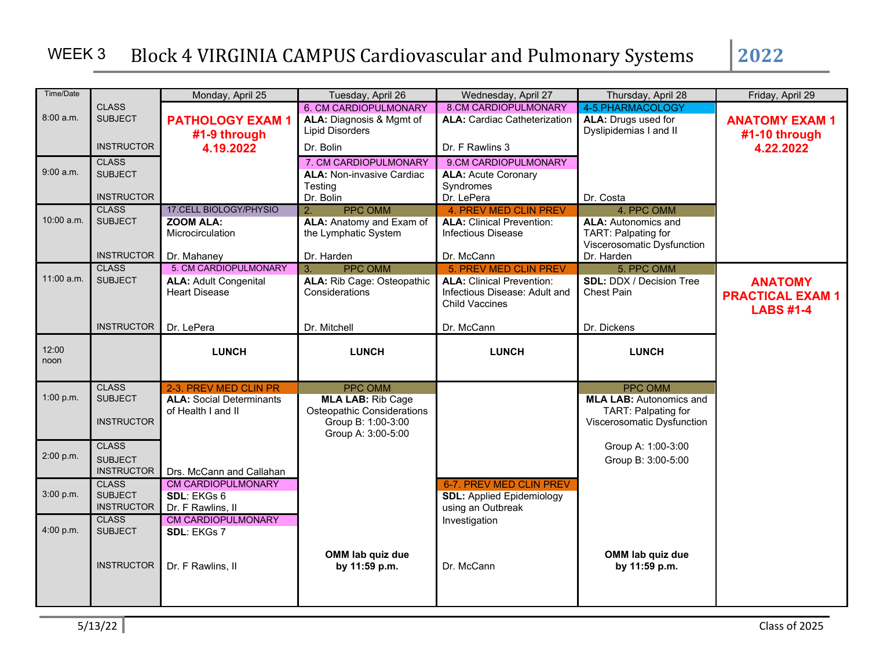| Time/Date  |                                     | Monday, April 25                | Tuesday, April 26                | Wednesday, April 27                                           | Thursday, April 28                                | Friday, April 29        |
|------------|-------------------------------------|---------------------------------|----------------------------------|---------------------------------------------------------------|---------------------------------------------------|-------------------------|
|            | <b>CLASS</b>                        |                                 | 6. CM CARDIOPULMONARY            | 8.CM CARDIOPULMONARY                                          | 4-5.PHARMACOLOGY                                  |                         |
| 8:00 a.m.  | <b>SUBJECT</b>                      | <b>PATHOLOGY EXAM1</b>          | ALA: Diagnosis & Mgmt of         | <b>ALA: Cardiac Catheterization</b>                           | ALA: Drugs used for                               | <b>ANATOMY EXAM 1</b>   |
|            |                                     | #1-9 through                    | <b>Lipid Disorders</b>           |                                                               | Dyslipidemias I and II                            | #1-10 through           |
|            | <b>INSTRUCTOR</b>                   | 4.19.2022                       | Dr. Bolin                        | Dr. F Rawlins 3                                               |                                                   | 4.22.2022               |
|            | <b>CLASS</b>                        |                                 | 7. CM CARDIOPULMONARY            | 9.CM CARDIOPULMONARY                                          |                                                   |                         |
| 9:00 a.m.  | <b>SUBJECT</b>                      |                                 | <b>ALA: Non-invasive Cardiac</b> | <b>ALA: Acute Coronary</b>                                    |                                                   |                         |
|            |                                     |                                 | Testing                          | Syndromes                                                     |                                                   |                         |
|            | <b>INSTRUCTOR</b>                   |                                 | Dr. Bolin                        | Dr. LePera                                                    | Dr. Costa                                         |                         |
| 10:00 a.m. | <b>CLASS</b>                        | 17. CELL BIOLOGY/PHYSIO         | <b>PPC OMM</b><br>2.             | 4. PREV MED CLIN PREV                                         | 4. PPC OMM                                        |                         |
|            | <b>SUBJECT</b>                      | <b>ZOOM ALA:</b>                | ALA: Anatomy and Exam of         | <b>ALA: Clinical Prevention:</b><br><b>Infectious Disease</b> | <b>ALA:</b> Autonomics and                        |                         |
|            |                                     | Microcirculation                | the Lymphatic System             |                                                               | TART: Palpating for<br>Viscerosomatic Dysfunction |                         |
|            | <b>INSTRUCTOR</b>                   | Dr. Mahaney                     | Dr. Harden                       | Dr. McCann                                                    | Dr. Harden                                        |                         |
|            | <b>CLASS</b>                        | 5. CM CARDIOPULMONARY           | <b>PPC OMM</b><br>3.             | 5. PREV MED CLIN PREV                                         | 5. PPC OMM                                        |                         |
| 11:00 a.m. | <b>SUBJECT</b>                      | <b>ALA: Adult Congenital</b>    | ALA: Rib Cage: Osteopathic       | <b>ALA: Clinical Prevention:</b>                              | SDL: DDX / Decision Tree                          | <b>ANATOMY</b>          |
|            |                                     | <b>Heart Disease</b>            | Considerations                   | Infectious Disease: Adult and                                 | Chest Pain                                        | <b>PRACTICAL EXAM 1</b> |
|            |                                     |                                 |                                  | Child Vaccines                                                |                                                   | <b>LABS #1-4</b>        |
|            |                                     |                                 |                                  |                                                               |                                                   |                         |
|            | <b>INSTRUCTOR</b>                   | Dr. LePera                      | Dr. Mitchell                     | Dr. McCann                                                    | Dr. Dickens                                       |                         |
| 12:00      |                                     | <b>LUNCH</b>                    | <b>LUNCH</b>                     | <b>LUNCH</b>                                                  | <b>LUNCH</b>                                      |                         |
| noon       |                                     |                                 |                                  |                                                               |                                                   |                         |
|            |                                     |                                 |                                  |                                                               |                                                   |                         |
|            | <b>CLASS</b>                        | 2-3. PREV MED CLIN PR           | PPC OMM                          |                                                               | PPC OMM                                           |                         |
| 1:00 p.m.  | <b>SUBJECT</b>                      | <b>ALA: Social Determinants</b> | <b>MLA LAB: Rib Cage</b>         |                                                               | <b>MLA LAB: Autonomics and</b>                    |                         |
|            |                                     | of Health I and II              | Osteopathic Considerations       |                                                               | TART: Palpating for                               |                         |
|            | <b>INSTRUCTOR</b>                   |                                 | Group B: 1:00-3:00               |                                                               | Viscerosomatic Dysfunction                        |                         |
|            | <b>CLASS</b>                        |                                 | Group A: 3:00-5:00               |                                                               |                                                   |                         |
| 2:00 p.m.  |                                     |                                 |                                  |                                                               | Group A: 1:00-3:00                                |                         |
|            | <b>SUBJECT</b><br><b>INSTRUCTOR</b> | Drs. McCann and Callahan        |                                  |                                                               | Group B: 3:00-5:00                                |                         |
|            | <b>CLASS</b>                        | <b>CM CARDIOPULMONARY</b>       |                                  | 6-7. PREV MED CLIN PREV                                       |                                                   |                         |
| 3:00 p.m.  | <b>SUBJECT</b>                      | SDL: EKGs 6                     |                                  | <b>SDL: Applied Epidemiology</b>                              |                                                   |                         |
|            | <b>INSTRUCTOR</b>                   | Dr. F Rawlins, II               |                                  | using an Outbreak                                             |                                                   |                         |
|            | <b>CLASS</b>                        | <b>CM CARDIOPULMONARY</b>       |                                  | Investigation                                                 |                                                   |                         |
| 4:00 p.m.  | <b>SUBJECT</b>                      | SDL: EKGs 7                     |                                  |                                                               |                                                   |                         |
|            |                                     |                                 |                                  |                                                               |                                                   |                         |
|            |                                     |                                 | OMM lab quiz due                 |                                                               | OMM lab quiz due                                  |                         |
|            | <b>INSTRUCTOR</b>                   | Dr. F Rawlins, II               | by 11:59 p.m.                    | Dr. McCann                                                    | by 11:59 p.m.                                     |                         |
|            |                                     |                                 |                                  |                                                               |                                                   |                         |
|            |                                     |                                 |                                  |                                                               |                                                   |                         |
|            |                                     |                                 |                                  |                                                               |                                                   |                         |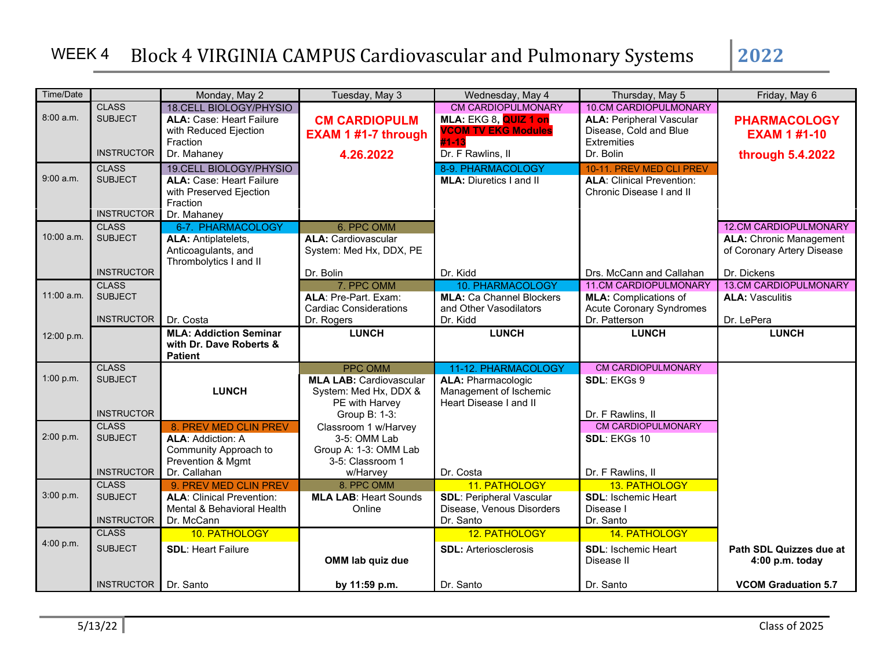| Time/Date  |                                                     | Monday, May 2                                                                                                    | Tuesday, May 3                                                                                               | Wednesday, May 4                                                                                               | Thursday, May 5                                                                                                       | Friday, May 6                                                                                |
|------------|-----------------------------------------------------|------------------------------------------------------------------------------------------------------------------|--------------------------------------------------------------------------------------------------------------|----------------------------------------------------------------------------------------------------------------|-----------------------------------------------------------------------------------------------------------------------|----------------------------------------------------------------------------------------------|
| 8:00 a.m.  | <b>CLASS</b><br><b>SUBJECT</b><br><b>INSTRUCTOR</b> | 18. CELL BIOLOGY/PHYSIO<br><b>ALA: Case: Heart Failure</b><br>with Reduced Ejection<br>Fraction<br>Dr. Mahaney   | <b>CM CARDIOPULM</b><br><b>EXAM 1 #1-7 through</b><br>4.26.2022                                              | <b>CM CARDIOPULMONARY</b><br>MLA: EKG 8, QUIZ 1 on<br><b>VCOM TV EKG Modules</b><br>#1-13<br>Dr. F Rawlins, II | 10.CM CARDIOPULMONARY<br><b>ALA: Peripheral Vascular</b><br>Disease, Cold and Blue<br><b>Extremities</b><br>Dr. Bolin | <b>PHARMACOLOGY</b><br><b>EXAM 1 #1-10</b><br>through 5.4.2022                               |
| 9:00 a.m.  | <b>CLASS</b><br><b>SUBJECT</b><br><b>INSTRUCTOR</b> | 19. CELL BIOLOGY/PHYSIO<br><b>ALA: Case: Heart Failure</b><br>with Preserved Ejection<br>Fraction<br>Dr. Mahaney |                                                                                                              | 8-9. PHARMACOLOGY<br><b>MLA: Diuretics I and II</b>                                                            | 10-11. PREV MED CLI PREV<br><b>ALA: Clinical Prevention:</b><br>Chronic Disease I and II                              |                                                                                              |
| 10:00 a.m. | <b>CLASS</b><br><b>SUBJECT</b>                      | 6-7. PHARMACOLOGY<br><b>ALA: Antiplatelets,</b><br>Anticoagulants, and<br>Thrombolytics I and II                 | 6. PPC OMM<br><b>ALA: Cardiovascular</b><br>System: Med Hx, DDX, PE                                          |                                                                                                                |                                                                                                                       | <b>12.CM CARDIOPULMONARY</b><br><b>ALA: Chronic Management</b><br>of Coronary Artery Disease |
|            | <b>INSTRUCTOR</b>                                   |                                                                                                                  | Dr. Bolin                                                                                                    | Dr. Kidd                                                                                                       | Drs. McCann and Callahan                                                                                              | Dr. Dickens                                                                                  |
| 11:00 a.m. | <b>CLASS</b><br><b>SUBJECT</b><br><b>INSTRUCTOR</b> | Dr. Costa                                                                                                        | 7. PPC OMM<br>ALA: Pre-Part. Exam:<br><b>Cardiac Considerations</b><br>Dr. Rogers                            | <b>10. PHARMACOLOGY</b><br><b>MLA: Ca Channel Blockers</b><br>and Other Vasodilators<br>Dr. Kidd               | <b>11.CM CARDIOPULMONARY</b><br><b>MLA:</b> Complications of<br><b>Acute Coronary Syndromes</b><br>Dr. Patterson      | 13.CM CARDIOPULMONARY<br><b>ALA: Vasculitis</b><br>Dr. LePera                                |
| 12:00 p.m. |                                                     | <b>MLA: Addiction Seminar</b><br>with Dr. Dave Roberts &<br><b>Patient</b>                                       | <b>LUNCH</b>                                                                                                 | <b>LUNCH</b>                                                                                                   | <b>LUNCH</b>                                                                                                          | <b>LUNCH</b>                                                                                 |
| 1:00 p.m.  | <b>CLASS</b><br><b>SUBJECT</b><br><b>INSTRUCTOR</b> | <b>LUNCH</b>                                                                                                     | <b>PPC OMM</b><br><b>MLA LAB: Cardiovascular</b><br>System: Med Hx, DDX &<br>PE with Harvey<br>Group B: 1-3: | 11-12. PHARMACOLOGY<br><b>ALA: Pharmacologic</b><br>Management of Ischemic<br>Heart Disease I and II           | <b>CM CARDIOPULMONARY</b><br>SDL: EKGs 9<br>Dr. F Rawlins, II                                                         |                                                                                              |
| 2:00 p.m.  | <b>CLASS</b><br><b>SUBJECT</b><br><b>INSTRUCTOR</b> | 8. PREV MED CLIN PREV<br><b>ALA: Addiction: A</b><br>Community Approach to<br>Prevention & Mgmt<br>Dr. Callahan  | Classroom 1 w/Harvey<br>3-5: OMM Lab<br>Group A: 1-3: OMM Lab<br>3-5: Classroom 1<br>w/Harvey                | Dr. Costa                                                                                                      | <b>CM CARDIOPULMONARY</b><br>SDL: EKGs 10<br>Dr. F Rawlins, II                                                        |                                                                                              |
| 3:00 p.m.  | <b>CLASS</b><br><b>SUBJECT</b><br><b>INSTRUCTOR</b> | 9. PREV MED CLIN PREV<br><b>ALA: Clinical Prevention:</b><br>Mental & Behavioral Health<br>Dr. McCann            | 8. PPC OMM<br><b>MLA LAB: Heart Sounds</b><br>Online                                                         | 11. PATHOLOGY<br><b>SDL: Peripheral Vascular</b><br>Disease, Venous Disorders<br>Dr. Santo                     | 13. PATHOLOGY<br><b>SDL: Ischemic Heart</b><br>Disease I<br>Dr. Santo                                                 |                                                                                              |
| 4:00 p.m.  | <b>CLASS</b><br><b>SUBJECT</b>                      | 10. PATHOLOGY<br><b>SDL: Heart Failure</b>                                                                       | OMM lab quiz due                                                                                             | 12. PATHOLOGY<br><b>SDL:</b> Arteriosclerosis                                                                  | 14. PATHOLOGY<br><b>SDL: Ischemic Heart</b><br>Disease II                                                             | Path SDL Quizzes due at<br>$4:00$ p.m. today                                                 |
|            | INSTRUCTOR   Dr. Santo                              |                                                                                                                  | by 11:59 p.m.                                                                                                | Dr. Santo                                                                                                      | Dr. Santo                                                                                                             | <b>VCOM Graduation 5.7</b>                                                                   |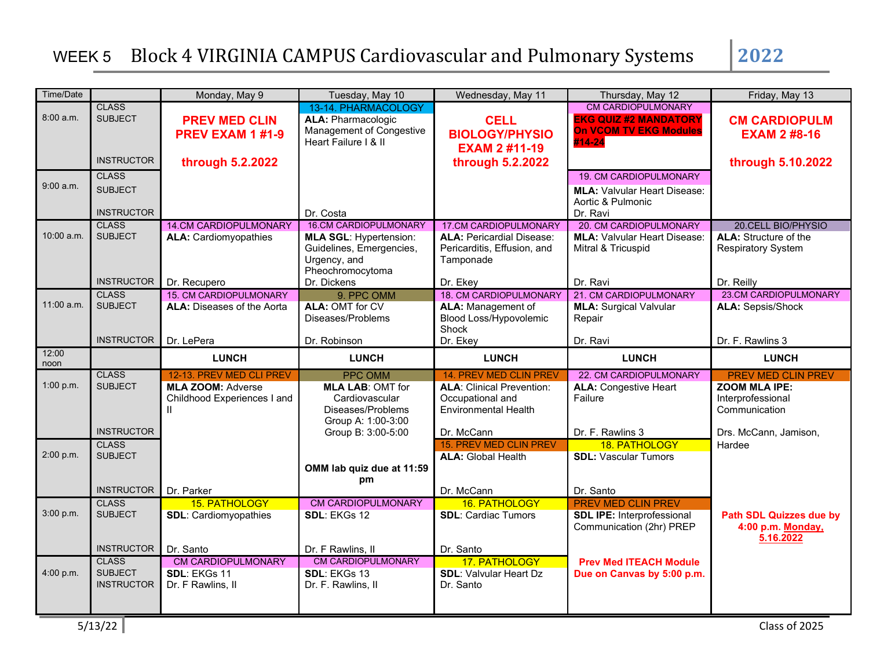# WEEK 5 Block 4 VIRGINIA CAMPUS Cardiovascular and Pulmonary Systems | 2022

| Time/Date  |                   | Monday, May 9                     | Tuesday, May 10                                           | Wednesday, May 11                                               | Thursday, May 12                                              | Friday, May 13                                            |
|------------|-------------------|-----------------------------------|-----------------------------------------------------------|-----------------------------------------------------------------|---------------------------------------------------------------|-----------------------------------------------------------|
| 8:00 a.m.  | <b>CLASS</b>      |                                   | 13-14. PHARMACOLOGY                                       |                                                                 | <b>CM CARDIOPULMONARY</b>                                     |                                                           |
|            | <b>SUBJECT</b>    | <b>PREV MED CLIN</b>              | <b>ALA: Pharmacologic</b><br>Management of Congestive     | <b>CELL</b>                                                     | <b>EKG QUIZ #2 MANDATORY</b><br><b>On VCOM TV EKG Modules</b> | <b>CM CARDIOPULM</b>                                      |
|            |                   | PREV EXAM 1 #1-9                  | Heart Failure I & II                                      | <b>BIOLOGY/PHYSIO</b><br><b>EXAM 2 #11-19</b>                   | #14-24                                                        | <b>EXAM 2 #8-16</b>                                       |
|            | <b>INSTRUCTOR</b> | through 5.2.2022                  |                                                           | through 5.2.2022                                                |                                                               | through 5.10.2022                                         |
|            | <b>CLASS</b>      |                                   |                                                           |                                                                 | 19. CM CARDIOPULMONARY                                        |                                                           |
| 9:00 a.m.  | <b>SUBJECT</b>    |                                   |                                                           |                                                                 | <b>MLA: Valvular Heart Disease:</b>                           |                                                           |
|            |                   |                                   |                                                           |                                                                 | Aortic & Pulmonic                                             |                                                           |
|            | <b>INSTRUCTOR</b> |                                   | Dr. Costa                                                 |                                                                 | Dr. Ravi                                                      |                                                           |
|            | <b>CLASS</b>      | <b>14.CM CARDIOPULMONARY</b>      | <b>16.CM CARDIOPULMONARY</b>                              | 17.CM CARDIOPULMONARY                                           | 20. CM CARDIOPULMONARY                                        | 20. CELL BIO/PHYSIO                                       |
| 10:00 a.m. | <b>SUBJECT</b>    | <b>ALA: Cardiomyopathies</b>      | <b>MLA SGL: Hypertension:</b><br>Guidelines, Emergencies, | <b>ALA: Pericardial Disease:</b><br>Pericarditis, Effusion, and | <b>MLA: Valvular Heart Disease:</b><br>Mitral & Tricuspid     | <b>ALA:</b> Structure of the<br><b>Respiratory System</b> |
|            |                   |                                   | Urgency, and                                              | Tamponade                                                       |                                                               |                                                           |
|            |                   |                                   | Pheochromocytoma                                          |                                                                 |                                                               |                                                           |
|            | <b>INSTRUCTOR</b> | Dr. Recupero                      | Dr. Dickens                                               | Dr. Ekey                                                        | Dr. Ravi                                                      | Dr. Reilly                                                |
| 11:00 a.m. | <b>CLASS</b>      | <b>15. CM CARDIOPULMONARY</b>     | 9. PPC OMM                                                | <b>18. CM CARDIOPULMONARY</b>                                   | 21. CM CARDIOPULMONARY                                        | <b>23.CM CARDIOPULMONARY</b>                              |
|            | <b>SUBJECT</b>    | <b>ALA: Diseases of the Aorta</b> | <b>ALA: OMT for CV</b><br>Diseases/Problems               | <b>ALA: Management of</b><br>Blood Loss/Hypovolemic             | <b>MLA: Surgical Valvular</b><br>Repair                       | <b>ALA: Sepsis/Shock</b>                                  |
|            |                   |                                   |                                                           | Shock                                                           |                                                               |                                                           |
|            | <b>INSTRUCTOR</b> | Dr. LePera                        | Dr. Robinson                                              | Dr. Ekey                                                        | Dr. Ravi                                                      | Dr. F. Rawlins 3                                          |
| 12:00      |                   |                                   |                                                           |                                                                 |                                                               |                                                           |
|            |                   | <b>LUNCH</b>                      | <b>LUNCH</b>                                              | <b>LUNCH</b>                                                    | <b>LUNCH</b>                                                  | <b>LUNCH</b>                                              |
| noon       | <b>CLASS</b>      | 12-13. PREV MED CLI PREV          | <b>PPC OMM</b>                                            | 14. PREV MED CLIN PREV                                          | 22. CM CARDIOPULMONARY                                        | <b>PREV MED CLIN PREV</b>                                 |
| 1:00 p.m.  | <b>SUBJECT</b>    | <b>MLA ZOOM: Adverse</b>          | <b>MLA LAB: OMT for</b>                                   | <b>ALA: Clinical Prevention:</b>                                | <b>ALA: Congestive Heart</b>                                  | <b>ZOOM MLA IPE:</b>                                      |
|            |                   | Childhood Experiences I and       | Cardiovascular                                            | Occupational and                                                | Failure                                                       | Interprofessional                                         |
|            |                   | $\mathbf{H}$                      | Diseases/Problems                                         | Environmental Health                                            |                                                               | Communication                                             |
|            | <b>INSTRUCTOR</b> |                                   | Group A: 1:00-3:00<br>Group B: 3:00-5:00                  | Dr. McCann                                                      | Dr. F. Rawlins 3                                              | Drs. McCann, Jamison,                                     |
|            | <b>CLASS</b>      |                                   |                                                           | <b>15. PREV MED CLIN PREV</b>                                   | 18. PATHOLOGY                                                 | Hardee                                                    |
| 2:00 p.m.  | <b>SUBJECT</b>    |                                   |                                                           | <b>ALA: Global Health</b>                                       | <b>SDL: Vascular Tumors</b>                                   |                                                           |
|            |                   |                                   | OMM lab quiz due at 11:59                                 |                                                                 |                                                               |                                                           |
|            | <b>INSTRUCTOR</b> | Dr. Parker                        | pm                                                        | Dr. McCann                                                      | Dr. Santo                                                     |                                                           |
|            | <b>CLASS</b>      | 15. PATHOLOGY                     | <b>CM CARDIOPULMONARY</b>                                 | 16. PATHOLOGY                                                   | <b>PREV MED CLIN PREV</b>                                     |                                                           |
| 3:00 p.m.  | <b>SUBJECT</b>    | <b>SDL: Cardiomyopathies</b>      | SDL: EKGs 12                                              | <b>SDL: Cardiac Tumors</b>                                      | <b>SDL IPE: Interprofessional</b>                             | <b>Path SDL Quizzes due by</b>                            |
|            |                   |                                   |                                                           |                                                                 | Communication (2hr) PREP                                      | 4:00 p.m. Monday,                                         |
|            | <b>INSTRUCTOR</b> | Dr. Santo                         |                                                           | Dr. Santo                                                       |                                                               | 5.16.2022                                                 |
|            | <b>CLASS</b>      | <b>CM CARDIOPULMONARY</b>         | Dr. F Rawlins, II<br><b>CM CARDIOPULMONARY</b>            | 17. PATHOLOGY                                                   | <b>Prev Med ITEACH Module</b>                                 |                                                           |
| 4:00 p.m.  | <b>SUBJECT</b>    | SDL: EKGs 11                      | SDL: EKGs 13                                              | <b>SDL: Valvular Heart Dz</b>                                   | Due on Canvas by 5:00 p.m.                                    |                                                           |
|            | <b>INSTRUCTOR</b> | Dr. F Rawlins, II                 | Dr. F. Rawlins, II                                        | Dr. Santo                                                       |                                                               |                                                           |
|            |                   |                                   |                                                           |                                                                 |                                                               |                                                           |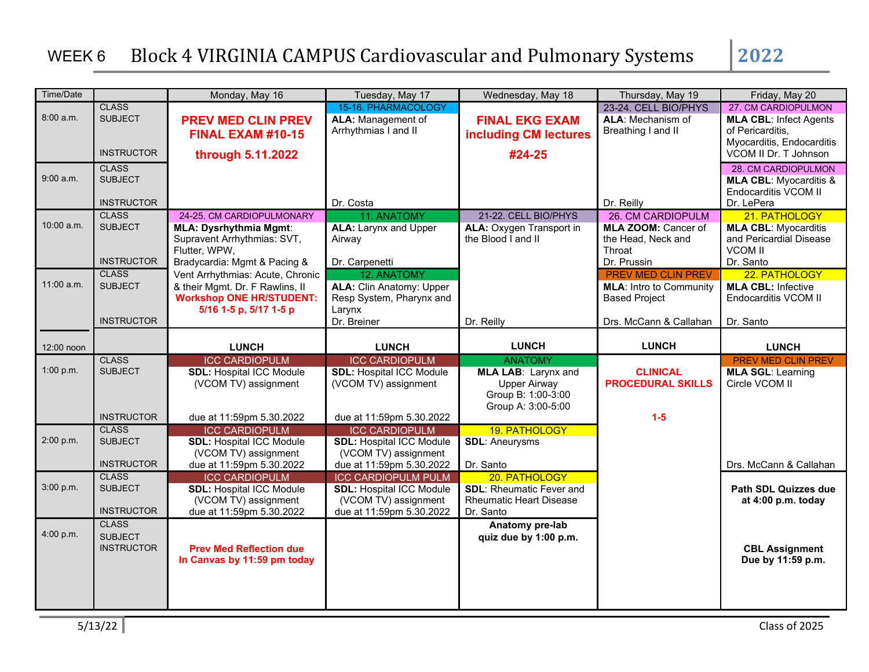| Time/Date    |                                   | Monday, May 16                                                     | Tuesday, May 17                                             | Wednesday, May 18                           | Thursday, May 19                                       | Friday, May 20                                    |
|--------------|-----------------------------------|--------------------------------------------------------------------|-------------------------------------------------------------|---------------------------------------------|--------------------------------------------------------|---------------------------------------------------|
|              | <b>CLASS</b>                      |                                                                    | 15-16. PHARMACOLOGY                                         |                                             | 23-24. CELL BIO/PHYS                                   | 27. CM CARDIOPULMON                               |
| 8:00a.m.     | <b>SUBJECT</b>                    | <b>PREV MED CLIN PREV</b>                                          | <b>ALA: Management of</b><br>Arrhythmias I and II           | <b>FINAL EKG EXAM</b>                       | ALA: Mechanism of                                      | <b>MLA CBL: Infect Agents</b>                     |
|              |                                   | FINAL EXAM #10-15                                                  |                                                             | including CM lectures                       | Breathing I and II                                     | of Pericarditis,<br>Myocarditis, Endocarditis     |
|              | <b>INSTRUCTOR</b>                 | through 5.11.2022                                                  |                                                             | #24-25                                      |                                                        | VCOM II Dr. T Johnson                             |
|              | <b>CLASS</b>                      |                                                                    |                                                             |                                             |                                                        | 28. CM CARDIOPULMON                               |
| $9:00$ a.m.  | <b>SUBJECT</b>                    |                                                                    |                                                             |                                             |                                                        | <b>MLA CBL: Myocarditis &amp;</b>                 |
|              |                                   |                                                                    |                                                             |                                             |                                                        | Endocarditis VCOM II                              |
|              | <b>INSTRUCTOR</b><br><b>CLASS</b> | 24-25. CM CARDIOPULMONARY                                          | Dr. Costa<br>11. ANATOMY                                    | 21-22. CELL BIO/PHYS                        | Dr. Reilly<br>26. CM CARDIOPULM                        | Dr. LePera<br>21. PATHOLOGY                       |
| $10:00$ a.m. | <b>SUBJECT</b>                    | <b>MLA: Dysrhythmia Mgmt:</b>                                      | <b>ALA: Larynx and Upper</b>                                | ALA: Oxygen Transport in                    | MLA ZOOM: Cancer of                                    | <b>MLA CBL: Myocarditis</b>                       |
|              |                                   | Supravent Arrhythmias: SVT,                                        | Airway                                                      | the Blood I and II                          | the Head, Neck and                                     | and Pericardial Disease                           |
|              |                                   | Flutter, WPW,                                                      |                                                             |                                             | Throat                                                 | <b>VCOM II</b>                                    |
|              | <b>INSTRUCTOR</b>                 | Bradycardia: Mgmt & Pacing &                                       | Dr. Carpenetti                                              |                                             | Dr. Prussin                                            | Dr. Santo                                         |
| $11:00$ a.m. | <b>CLASS</b><br><b>SUBJECT</b>    | Vent Arrhythmias: Acute, Chronic                                   | 12. ANATOMY                                                 |                                             | PREV MED CLIN PREV                                     | 22. PATHOLOGY                                     |
|              |                                   | & their Mgmt. Dr. F Rawlins, II<br><b>Workshop ONE HR/STUDENT:</b> | <b>ALA: Clin Anatomy: Upper</b><br>Resp System, Pharynx and |                                             | <b>MLA: Intro to Community</b><br><b>Based Project</b> | <b>MLA CBL: Infective</b><br>Endocarditis VCOM II |
|              |                                   | 5/16 1-5 p, 5/17 1-5 p                                             | Larynx                                                      |                                             |                                                        |                                                   |
|              | <b>INSTRUCTOR</b>                 |                                                                    | Dr. Breiner                                                 | Dr. Reilly                                  | Drs. McCann & Callahan                                 | Dr. Santo                                         |
|              |                                   |                                                                    |                                                             |                                             |                                                        |                                                   |
| 12:00 noon   |                                   | <b>LUNCH</b>                                                       | <b>LUNCH</b>                                                | <b>LUNCH</b>                                | <b>LUNCH</b>                                           | <b>LUNCH</b>                                      |
| 1:00 p.m.    | <b>CLASS</b><br><b>SUBJECT</b>    | <b>ICC CARDIOPULM</b>                                              | <b>ICC CARDIOPULM</b>                                       | <b>ANATOMY</b>                              | <b>CLINICAL</b>                                        | <b>PREV MED CLIN PREV</b>                         |
|              |                                   | <b>SDL: Hospital ICC Module</b><br>(VCOM TV) assignment            | <b>SDL: Hospital ICC Module</b><br>(VCOM TV) assignment     | MLA LAB: Larynx and<br><b>Upper Airway</b>  | <b>PROCEDURAL SKILLS</b>                               | <b>MLA SGL: Learning</b><br>Circle VCOM II        |
|              |                                   |                                                                    |                                                             | Group B: 1:00-3:00                          |                                                        |                                                   |
|              |                                   |                                                                    |                                                             | Group A: 3:00-5:00                          |                                                        |                                                   |
|              | <b>INSTRUCTOR</b>                 | due at 11:59pm 5.30.2022                                           | due at 11:59pm 5.30.2022                                    |                                             | $1-5$                                                  |                                                   |
| 2:00 p.m.    | <b>CLASS</b><br><b>SUBJECT</b>    | <b>ICC CARDIOPULM</b><br><b>SDL: Hospital ICC Module</b>           | <b>ICC CARDIOPULM</b><br><b>SDL: Hospital ICC Module</b>    | 19. PATHOLOGY<br><b>SDL: Aneurysms</b>      |                                                        |                                                   |
|              |                                   | (VCOM TV) assignment                                               | (VCOM TV) assignment                                        |                                             |                                                        |                                                   |
|              | <b>INSTRUCTOR</b>                 | due at 11:59pm 5.30.2022                                           | due at 11:59pm 5.30.2022                                    | Dr. Santo                                   |                                                        | Drs. McCann & Callahan                            |
|              | <b>CLASS</b>                      | <b>ICC CARDIOPULM</b>                                              | <b>ICC CARDIOPULM PULM</b>                                  | 20. PATHOLOGY                               |                                                        |                                                   |
| 3:00 p.m.    | <b>SUBJECT</b>                    | <b>SDL: Hospital ICC Module</b>                                    | <b>SDL: Hospital ICC Module</b>                             | <b>SDL: Rheumatic Fever and</b>             |                                                        | Path SDL Quizzes due                              |
|              | <b>INSTRUCTOR</b>                 | (VCOM TV) assignment<br>due at 11:59pm 5.30.2022                   | (VCOM TV) assignment<br>due at 11:59pm 5.30.2022            | <b>Rheumatic Heart Disease</b><br>Dr. Santo |                                                        | at 4:00 p.m. today                                |
|              | <b>CLASS</b>                      |                                                                    |                                                             | Anatomy pre-lab                             |                                                        |                                                   |
| 4:00 p.m.    | <b>SUBJECT</b>                    |                                                                    |                                                             | quiz due by 1:00 p.m.                       |                                                        |                                                   |
|              | <b>INSTRUCTOR</b>                 | <b>Prev Med Reflection due</b>                                     |                                                             |                                             |                                                        | <b>CBL Assignment</b>                             |
|              |                                   | In Canvas by 11:59 pm today                                        |                                                             |                                             |                                                        | Due by 11:59 p.m.                                 |
|              |                                   |                                                                    |                                                             |                                             |                                                        |                                                   |
|              |                                   |                                                                    |                                                             |                                             |                                                        |                                                   |
|              |                                   |                                                                    |                                                             |                                             |                                                        |                                                   |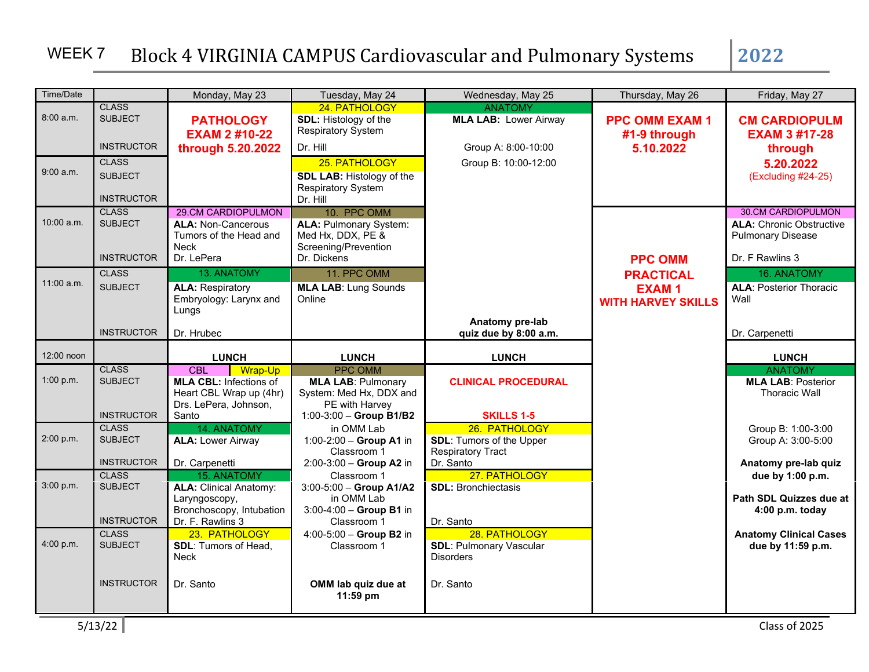| Time/Date    |                                | Monday, May 23                                    | Tuesday, May 24                           | Wednesday, May 25                               | Thursday, May 26          | Friday, May 27                                     |
|--------------|--------------------------------|---------------------------------------------------|-------------------------------------------|-------------------------------------------------|---------------------------|----------------------------------------------------|
|              | <b>CLASS</b>                   |                                                   | 24. PATHOLOGY                             | <b>ANATOMY</b>                                  |                           |                                                    |
| 8:00 a.m.    | <b>SUBJECT</b>                 | <b>PATHOLOGY</b>                                  | <b>SDL:</b> Histology of the              | <b>MLA LAB: Lower Airway</b>                    | <b>PPC OMM EXAM 1</b>     | <b>CM CARDIOPULM</b>                               |
|              |                                | <b>EXAM 2 #10-22</b>                              | <b>Respiratory System</b>                 |                                                 | #1-9 through              | <b>EXAM 3 #17-28</b>                               |
|              | <b>INSTRUCTOR</b>              | through 5.20.2022                                 | Dr. Hill                                  | Group A: 8:00-10:00                             | 5.10.2022                 | through                                            |
| 9:00 a.m.    | <b>CLASS</b>                   |                                                   | 25. PATHOLOGY                             | Group B: 10:00-12:00                            |                           | 5.20.2022                                          |
|              | <b>SUBJECT</b>                 |                                                   | <b>SDL LAB: Histology of the</b>          |                                                 |                           | (Excluding #24-25)                                 |
|              | <b>INSTRUCTOR</b>              |                                                   | <b>Respiratory System</b><br>Dr. Hill     |                                                 |                           |                                                    |
|              | <b>CLASS</b>                   | <b>29.CM CARDIOPULMON</b>                         | 10. PPC OMM                               |                                                 |                           | 30.CM CARDIOPULMON                                 |
| $10:00$ a.m. | <b>SUBJECT</b>                 | <b>ALA: Non-Cancerous</b>                         | <b>ALA: Pulmonary System:</b>             |                                                 |                           | <b>ALA: Chronic Obstructive</b>                    |
|              |                                | Tumors of the Head and                            | Med Hx, DDX, PE &                         |                                                 |                           | <b>Pulmonary Disease</b>                           |
|              | <b>INSTRUCTOR</b>              | <b>Neck</b><br>Dr. LePera                         | Screening/Prevention<br>Dr. Dickens       |                                                 |                           | Dr. F Rawlins 3                                    |
|              |                                |                                                   |                                           |                                                 | <b>PPC OMM</b>            |                                                    |
| 11:00 a.m.   | <b>CLASS</b><br><b>SUBJECT</b> | 13. ANATOMY                                       | 11. PPC OMM                               |                                                 | <b>PRACTICAL</b>          | 16. ANATOMY                                        |
|              |                                | <b>ALA: Respiratory</b><br>Embryology: Larynx and | <b>MLA LAB: Lung Sounds</b><br>Online     |                                                 | <b>EXAM1</b>              | <b>ALA: Posterior Thoracic</b><br>Wall             |
|              |                                | Lungs                                             |                                           |                                                 | <b>WITH HARVEY SKILLS</b> |                                                    |
|              |                                |                                                   |                                           | Anatomy pre-lab                                 |                           |                                                    |
|              | <b>INSTRUCTOR</b>              | Dr. Hrubec                                        |                                           | quiz due by 8:00 a.m.                           |                           | Dr. Carpenetti                                     |
| $12:00$ noon |                                | <b>LUNCH</b>                                      | <b>LUNCH</b>                              | <b>LUNCH</b>                                    |                           | <b>LUNCH</b>                                       |
|              | <b>CLASS</b>                   | $\overline{\text{CBL}}$<br>Wrap-Up                | <b>PPC OMM</b>                            |                                                 |                           | <b>ANATOMY</b>                                     |
| 1:00 p.m.    | <b>SUBJECT</b>                 | <b>MLA CBL: Infections of</b>                     | <b>MLA LAB: Pulmonary</b>                 | <b>CLINICAL PROCEDURAL</b>                      |                           | <b>MLA LAB: Posterior</b>                          |
|              |                                | Heart CBL Wrap up (4hr)<br>Drs. LePera, Johnson,  | System: Med Hx, DDX and<br>PE with Harvey |                                                 |                           | <b>Thoracic Wall</b>                               |
|              | <b>INSTRUCTOR</b>              | Santo                                             | $1:00-3:00$ - Group B1/B2                 | <b>SKILLS 1-5</b>                               |                           |                                                    |
|              | <b>CLASS</b>                   | 14. ANATOMY                                       | in OMM Lab                                | 26. PATHOLOGY                                   |                           | Group B: 1:00-3:00                                 |
| 2:00 p.m.    | <b>SUBJECT</b>                 | <b>ALA: Lower Airway</b>                          | 1:00-2:00 - Group A1 in                   | <b>SDL: Tumors of the Upper</b>                 |                           | Group A: 3:00-5:00                                 |
|              | <b>INSTRUCTOR</b>              |                                                   | Classroom 1                               | <b>Respiratory Tract</b>                        |                           |                                                    |
|              | <b>CLASS</b>                   | Dr. Carpenetti<br><b>15. ANATOMY</b>              | 2:00-3:00 - Group A2 in<br>Classroom 1    | Dr. Santo<br>27. PATHOLOGY                      |                           | Anatomy pre-lab quiz<br>due by 1:00 p.m.           |
| 3:00 p.m.    | <b>SUBJECT</b>                 | <b>ALA: Clinical Anatomy:</b>                     | 3:00-5:00 - Group A1/A2                   | <b>SDL: Bronchiectasis</b>                      |                           |                                                    |
|              |                                | Laryngoscopy,                                     | in OMM Lab                                |                                                 |                           | Path SDL Quizzes due at                            |
|              |                                | Bronchoscopy, Intubation                          | $3:00-4:00$ - Group B1 in                 |                                                 |                           | 4:00 p.m. today                                    |
|              | <b>INSTRUCTOR</b>              | Dr. F. Rawlins 3                                  | Classroom 1                               | Dr. Santo                                       |                           |                                                    |
| 4:00 p.m.    | <b>CLASS</b><br><b>SUBJECT</b> | 23. PATHOLOGY<br><b>SDL:</b> Tumors of Head,      | 4:00-5:00 - Group B2 in<br>Classroom 1    | 28. PATHOLOGY<br><b>SDL: Pulmonary Vascular</b> |                           | <b>Anatomy Clinical Cases</b><br>due by 11:59 p.m. |
|              |                                | <b>Neck</b>                                       |                                           | <b>Disorders</b>                                |                           |                                                    |
|              |                                |                                                   |                                           |                                                 |                           |                                                    |
|              | <b>INSTRUCTOR</b>              | Dr. Santo                                         | OMM lab quiz due at                       | Dr. Santo                                       |                           |                                                    |
|              |                                |                                                   | $11:59$ pm                                |                                                 |                           |                                                    |
|              |                                |                                                   |                                           |                                                 |                           |                                                    |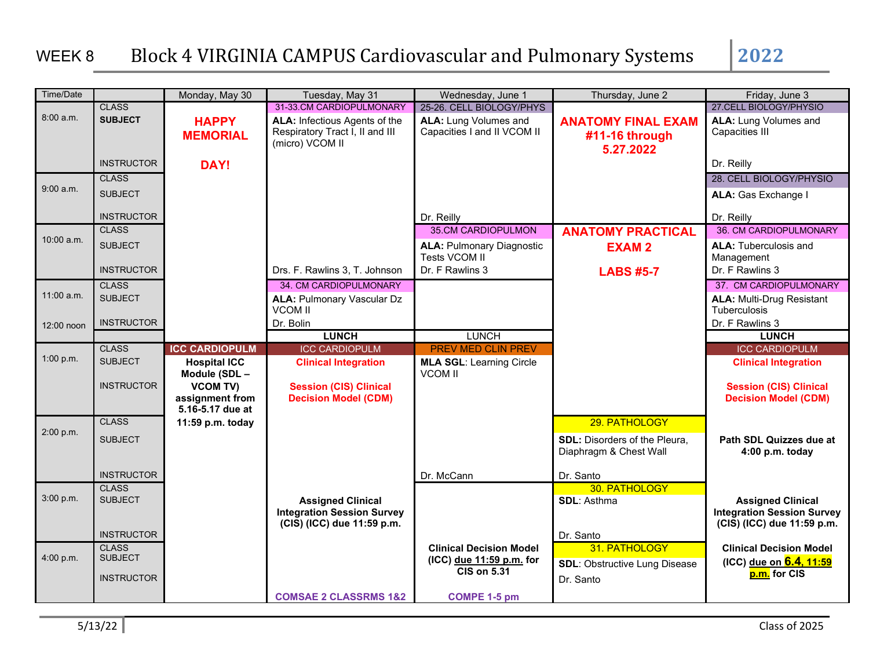| <b>Time/Date</b> |                                   | Monday, May 30                       | Tuesday, May 31                   | Wednesday, June 1                                 | Thursday, June 2                     | Friday, June 3                                   |
|------------------|-----------------------------------|--------------------------------------|-----------------------------------|---------------------------------------------------|--------------------------------------|--------------------------------------------------|
|                  | <b>CLASS</b>                      |                                      | 31-33.CM CARDIOPULMONARY          | 25-26. CELL BIOLOGY/PHYS                          |                                      | 27. CELL BIOLOGY/PHYSIO                          |
| 8:00a.m.         | <b>SUBJECT</b>                    | <b>HAPPY</b>                         | ALA: Infectious Agents of the     | <b>ALA:</b> Lung Volumes and                      | <b>ANATOMY FINAL EXAM</b>            | <b>ALA:</b> Lung Volumes and                     |
|                  |                                   | <b>MEMORIAL</b>                      | Respiratory Tract I, II and III   | Capacities I and II VCOM II                       | #11-16 through                       | Capacities III                                   |
|                  |                                   |                                      | (micro) VCOM II                   |                                                   | 5.27.2022                            |                                                  |
|                  | <b>INSTRUCTOR</b>                 | <b>DAY!</b>                          |                                   |                                                   |                                      | Dr. Reilly                                       |
|                  | <b>CLASS</b>                      |                                      |                                   |                                                   |                                      | 28. CELL BIOLOGY/PHYSIO                          |
| 9:00 a.m.        | <b>SUBJECT</b>                    |                                      |                                   |                                                   |                                      | ALA: Gas Exchange I                              |
|                  |                                   |                                      |                                   |                                                   |                                      |                                                  |
|                  | <b>INSTRUCTOR</b>                 |                                      |                                   | Dr. Reilly                                        |                                      | Dr. Reilly                                       |
| 10:00 a.m.       | <b>CLASS</b>                      |                                      |                                   | <b>35.CM CARDIOPULMON</b>                         | <b>ANATOMY PRACTICAL</b>             | 36. CM CARDIOPULMONARY                           |
|                  | <b>SUBJECT</b>                    |                                      |                                   | <b>ALA: Pulmonary Diagnostic</b><br>Tests VCOM II | <b>EXAM2</b>                         | <b>ALA: Tuberculosis and</b><br>Management       |
|                  | <b>INSTRUCTOR</b>                 |                                      | Drs. F. Rawlins 3, T. Johnson     | Dr. F Rawlins 3                                   | <b>LABS #5-7</b>                     | Dr. F Rawlins 3                                  |
|                  | <b>CLASS</b>                      |                                      | 34. CM CARDIOPULMONARY            |                                                   |                                      | 37. CM CARDIOPULMONARY                           |
| 11:00 a.m.       | <b>SUBJECT</b>                    |                                      | <b>ALA: Pulmonary Vascular Dz</b> |                                                   |                                      |                                                  |
|                  |                                   |                                      | <b>VCOM II</b>                    |                                                   |                                      | <b>ALA: Multi-Drug Resistant</b><br>Tuberculosis |
| 12:00 noon       | <b>INSTRUCTOR</b>                 |                                      | Dr. Bolin                         |                                                   |                                      | Dr. F Rawlins 3                                  |
|                  |                                   |                                      | <b>LUNCH</b>                      | <b>LUNCH</b>                                      |                                      | <b>LUNCH</b>                                     |
|                  | <b>CLASS</b>                      | <b>ICC CARDIOPULM</b>                | <b>ICC CARDIOPULM</b>             | <b>PREV MED CLIN PREV</b>                         |                                      | <b>ICC CARDIOPULM</b>                            |
| 1:00 p.m.        | <b>SUBJECT</b>                    | <b>Hospital ICC</b>                  | <b>Clinical Integration</b>       | <b>MLA SGL: Learning Circle</b>                   |                                      | <b>Clinical Integration</b>                      |
|                  |                                   | Module (SDL -                        |                                   | <b>VCOM II</b>                                    |                                      |                                                  |
|                  | <b>INSTRUCTOR</b>                 | <b>VCOM TV)</b>                      | <b>Session (CIS) Clinical</b>     |                                                   |                                      | <b>Session (CIS) Clinical</b>                    |
|                  |                                   | assignment from                      | <b>Decision Model (CDM)</b>       |                                                   |                                      | <b>Decision Model (CDM)</b>                      |
|                  | <b>CLASS</b>                      | 5.16-5.17 due at<br>11:59 p.m. today |                                   |                                                   | 29. PATHOLOGY                        |                                                  |
| 2:00 p.m.        |                                   |                                      |                                   |                                                   |                                      |                                                  |
|                  | <b>SUBJECT</b>                    |                                      |                                   |                                                   | <b>SDL: Disorders of the Pleura,</b> | Path SDL Quizzes due at                          |
|                  |                                   |                                      |                                   |                                                   | Diaphragm & Chest Wall               | 4:00 p.m. today                                  |
|                  | <b>INSTRUCTOR</b>                 |                                      |                                   | Dr. McCann                                        | Dr. Santo                            |                                                  |
|                  | <b>CLASS</b>                      |                                      |                                   |                                                   | 30. PATHOLOGY                        |                                                  |
| 3:00 p.m.        | <b>SUBJECT</b>                    |                                      | <b>Assigned Clinical</b>          |                                                   | <b>SDL: Asthma</b>                   | <b>Assigned Clinical</b>                         |
|                  |                                   |                                      | <b>Integration Session Survey</b> |                                                   |                                      | <b>Integration Session Survey</b>                |
|                  |                                   |                                      | (CIS) (ICC) due 11:59 p.m.        |                                                   |                                      | (CIS) (ICC) due 11:59 p.m.                       |
|                  | <b>INSTRUCTOR</b><br><b>CLASS</b> |                                      |                                   | <b>Clinical Decision Model</b>                    | Dr. Santo<br>31. PATHOLOGY           | <b>Clinical Decision Model</b>                   |
| 4:00 p.m.        | <b>SUBJECT</b>                    |                                      |                                   | $(ICC)$ due 11:59 p.m. for                        |                                      |                                                  |
|                  |                                   |                                      |                                   | <b>CIS on 5.31</b>                                | <b>SDL: Obstructive Lung Disease</b> | (ICC) due on <b>6.4, 11:59</b><br>p.m. for CIS   |
|                  | <b>INSTRUCTOR</b>                 |                                      |                                   |                                                   | Dr. Santo                            |                                                  |
|                  |                                   |                                      | <b>COMSAE 2 CLASSRMS 1&amp;2</b>  | COMPE 1-5 pm                                      |                                      |                                                  |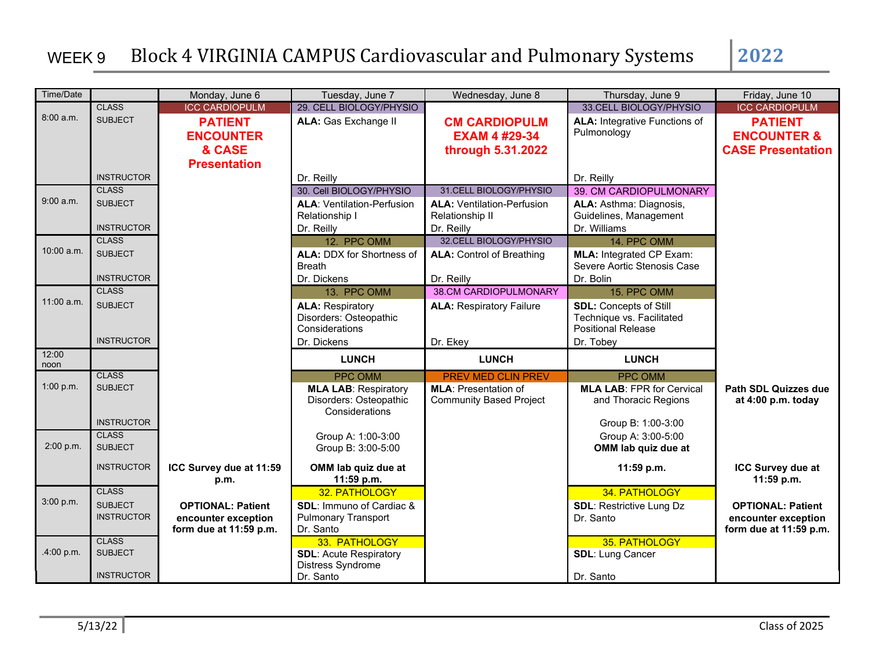| Time/Date     |                                | Monday, June 6           | Tuesday, June 7                                           | Wednesday, June 8                 | Thursday, June 9                     | Friday, June 10          |
|---------------|--------------------------------|--------------------------|-----------------------------------------------------------|-----------------------------------|--------------------------------------|--------------------------|
|               | <b>CLASS</b>                   | <b>ICC CARDIOPULM</b>    | 29. CELL BIOLOGY/PHYSIO                                   |                                   | 33. CELL BIOLOGY/PHYSIO              | <b>ICC CARDIOPULM</b>    |
| 8:00a.m.      | <b>SUBJECT</b>                 | <b>PATIENT</b>           | ALA: Gas Exchange II                                      | <b>CM CARDIOPULM</b>              | <b>ALA:</b> Integrative Functions of | <b>PATIENT</b>           |
|               |                                | <b>ENCOUNTER</b>         |                                                           | <b>EXAM 4 #29-34</b>              | Pulmonology                          | <b>ENCOUNTER &amp;</b>   |
|               |                                | & CASE                   |                                                           | through 5.31.2022                 |                                      | <b>CASE Presentation</b> |
|               |                                | <b>Presentation</b>      |                                                           |                                   |                                      |                          |
|               | <b>INSTRUCTOR</b>              |                          | Dr. Reilly                                                |                                   | Dr. Reilly                           |                          |
|               | <b>CLASS</b>                   |                          | 30. Cell BIOLOGY/PHYSIO                                   | 31. CELL BIOLOGY/PHYSIO           | 39. CM CARDIOPULMONARY               |                          |
| 9:00 a.m.     | <b>SUBJECT</b>                 |                          | <b>ALA: Ventilation-Perfusion</b>                         | <b>ALA: Ventilation-Perfusion</b> | ALA: Asthma: Diagnosis,              |                          |
|               |                                |                          | Relationship I                                            | Relationship II                   | Guidelines, Management               |                          |
|               | <b>INSTRUCTOR</b>              |                          | Dr. Reilly                                                | Dr. Reilly                        | Dr. Williams                         |                          |
|               | <b>CLASS</b>                   |                          | 12. PPC OMM                                               | 32. CELL BIOLOGY/PHYSIO           | 14. PPC OMM                          |                          |
| $10:00$ a.m.  | <b>SUBJECT</b>                 |                          | ALA: DDX for Shortness of                                 | <b>ALA: Control of Breathing</b>  | <b>MLA: Integrated CP Exam:</b>      |                          |
|               |                                |                          | <b>Breath</b>                                             |                                   | Severe Aortic Stenosis Case          |                          |
|               | <b>INSTRUCTOR</b>              |                          | Dr. Dickens                                               | Dr. Reilly                        | Dr. Bolin                            |                          |
|               | <b>CLASS</b>                   |                          | 13. PPC OMM                                               | <b>38.CM CARDIOPULMONARY</b>      | 15. PPC OMM                          |                          |
| $11:00$ a.m.  | <b>SUBJECT</b>                 |                          | <b>ALA: Respiratory</b>                                   | <b>ALA: Respiratory Failure</b>   | <b>SDL: Concepts of Still</b>        |                          |
|               |                                |                          | Disorders: Osteopathic                                    |                                   | Technique vs. Facilitated            |                          |
|               |                                |                          | Considerations                                            |                                   | <b>Positional Release</b>            |                          |
|               | <b>INSTRUCTOR</b>              |                          | Dr. Dickens                                               | Dr. Ekey                          | Dr. Tobey                            |                          |
| 12:00<br>noon |                                |                          | <b>LUNCH</b>                                              | <b>LUNCH</b>                      | <b>LUNCH</b>                         |                          |
|               | <b>CLASS</b>                   |                          | <b>PPC OMM</b>                                            | <b>PREV MED CLIN PREV</b>         | <b>PPC OMM</b>                       |                          |
| 1:00 p.m.     | <b>SUBJECT</b>                 |                          | <b>MLA LAB: Respiratory</b>                               | <b>MLA: Presentation of</b>       | <b>MLA LAB: FPR for Cervical</b>     | Path SDL Quizzes due     |
|               |                                |                          | Disorders: Osteopathic                                    | <b>Community Based Project</b>    | and Thoracic Regions                 | at 4:00 p.m. today       |
|               |                                |                          | Considerations                                            |                                   |                                      |                          |
|               | <b>INSTRUCTOR</b>              |                          |                                                           |                                   | Group B: 1:00-3:00                   |                          |
| 2:00 p.m.     | <b>CLASS</b><br><b>SUBJECT</b> |                          | Group A: 1:00-3:00                                        |                                   | Group A: 3:00-5:00                   |                          |
|               |                                |                          | Group B: 3:00-5:00                                        |                                   | OMM lab quiz due at                  |                          |
|               | <b>INSTRUCTOR</b>              | ICC Survey due at 11:59  | OMM lab quiz due at                                       |                                   | 11:59 p.m.                           | ICC Survey due at        |
|               |                                | p.m.                     | $11:59$ p.m.                                              |                                   |                                      | 11:59 p.m.               |
|               | <b>CLASS</b>                   |                          | 32. PATHOLOGY                                             |                                   | 34. PATHOLOGY                        |                          |
| 3:00 p.m.     | <b>SUBJECT</b>                 | <b>OPTIONAL: Patient</b> | <b>SDL: Immuno of Cardiac &amp;</b>                       |                                   | <b>SDL: Restrictive Lung Dz</b>      | <b>OPTIONAL: Patient</b> |
|               | <b>INSTRUCTOR</b>              | encounter exception      | <b>Pulmonary Transport</b>                                |                                   | Dr. Santo                            | encounter exception      |
|               |                                | form due at 11:59 p.m.   | Dr. Santo                                                 |                                   |                                      | form due at 11:59 p.m.   |
| .4:00 p.m.    | <b>CLASS</b><br><b>SUBJECT</b> |                          | 33. PATHOLOGY                                             |                                   | 35. PATHOLOGY                        |                          |
|               |                                |                          | <b>SDL: Acute Respiratory</b><br><b>Distress Syndrome</b> |                                   | <b>SDL:</b> Lung Cancer              |                          |
|               | <b>INSTRUCTOR</b>              |                          | Dr. Santo                                                 |                                   | Dr. Santo                            |                          |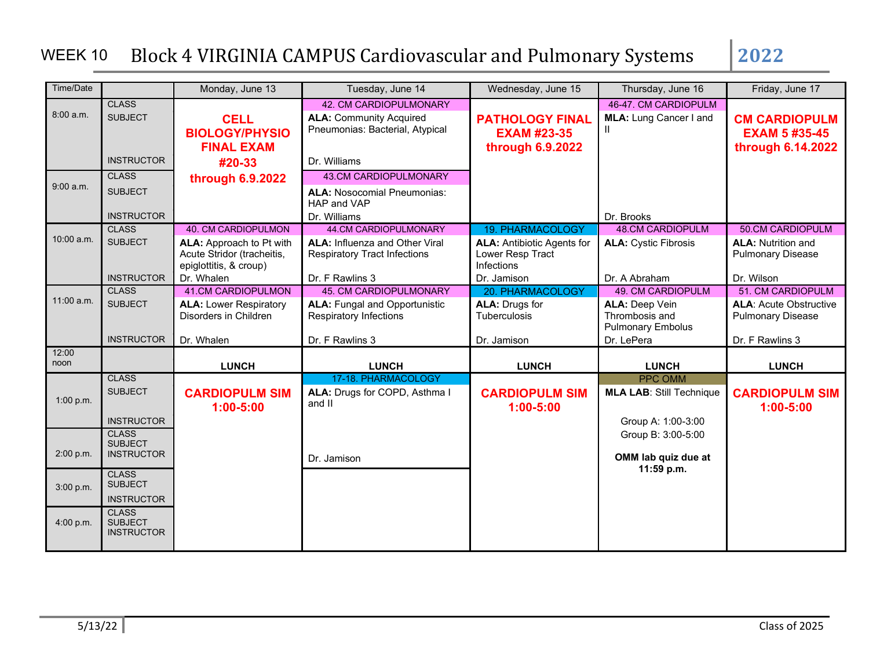| Time/Date     |                                                     | Monday, June 13                                                                         | Tuesday, June 14                                                                                   | Wednesday, June 15                                                  | Thursday, June 16                                                                        | Friday, June 17                                                                |
|---------------|-----------------------------------------------------|-----------------------------------------------------------------------------------------|----------------------------------------------------------------------------------------------------|---------------------------------------------------------------------|------------------------------------------------------------------------------------------|--------------------------------------------------------------------------------|
| 8:00 a.m.     | <b>CLASS</b><br><b>SUBJECT</b>                      | <b>CELL</b><br><b>BIOLOGY/PHYSIO</b>                                                    | <b>42. CM CARDIOPULMONARY</b><br><b>ALA: Community Acquired</b><br>Pneumonias: Bacterial, Atypical | <b>PATHOLOGY FINAL</b><br><b>EXAM #23-35</b>                        | 46-47. CM CARDIOPULM<br><b>MLA: Lung Cancer I and</b><br>Ш                               | <b>CM CARDIOPULM</b><br><b>EXAM 5 #35-45</b>                                   |
|               | <b>INSTRUCTOR</b>                                   | <b>FINAL EXAM</b><br>#20-33                                                             | Dr. Williams                                                                                       | through 6.9.2022                                                    |                                                                                          | through 6.14.2022                                                              |
| 9:00 a.m.     | <b>CLASS</b><br><b>SUBJECT</b><br><b>INSTRUCTOR</b> | through 6.9.2022                                                                        | 43.CM CARDIOPULMONARY<br><b>ALA: Nosocomial Pneumonias:</b><br>HAP and VAP<br>Dr. Williams         |                                                                     | Dr. Brooks                                                                               |                                                                                |
|               | <b>CLASS</b>                                        | 40. CM CARDIOPULMON                                                                     | <b>44.CM CARDIOPULMONARY</b>                                                                       | <b>19. PHARMACOLOGY</b>                                             | <b>48.CM CARDIOPULM</b>                                                                  | 50.CM CARDIOPULM                                                               |
| 10:00 a.m.    | <b>SUBJECT</b>                                      | <b>ALA:</b> Approach to Pt with<br>Acute Stridor (tracheitis,<br>epiglottitis, & croup) | <b>ALA:</b> Influenza and Other Viral<br><b>Respiratory Tract Infections</b>                       | <b>ALA: Antibiotic Agents for</b><br>Lower Resp Tract<br>Infections | <b>ALA: Cystic Fibrosis</b>                                                              | <b>ALA: Nutrition and</b><br><b>Pulmonary Disease</b>                          |
|               | <b>INSTRUCTOR</b>                                   | Dr. Whalen                                                                              | Dr. F Rawlins 3                                                                                    | Dr. Jamison                                                         | Dr. A Abraham                                                                            | Dr. Wilson                                                                     |
| $11:00$ a.m.  | <b>CLASS</b><br><b>SUBJECT</b>                      | <b>41.CM CARDIOPULMON</b><br><b>ALA: Lower Respiratory</b><br>Disorders in Children     | 45. CM CARDIOPULMONARY<br><b>ALA:</b> Fungal and Opportunistic<br><b>Respiratory Infections</b>    | 20. PHARMACOLOGY<br>ALA: Drugs for<br>Tuberculosis                  | 49. CM CARDIOPULM<br><b>ALA: Deep Vein</b><br>Thrombosis and<br><b>Pulmonary Embolus</b> | 51. CM CARDIOPULM<br><b>ALA: Acute Obstructive</b><br><b>Pulmonary Disease</b> |
|               | <b>INSTRUCTOR</b>                                   | Dr. Whalen                                                                              | Dr. F Rawlins 3                                                                                    | Dr. Jamison                                                         | Dr. LePera                                                                               | Dr. F Rawlins 3                                                                |
| 12:00<br>noon |                                                     | <b>LUNCH</b>                                                                            | <b>LUNCH</b>                                                                                       | <b>LUNCH</b>                                                        | <b>LUNCH</b>                                                                             | <b>LUNCH</b>                                                                   |
| 1:00 p.m.     | <b>CLASS</b><br><b>SUBJECT</b><br><b>INSTRUCTOR</b> | <b>CARDIOPULM SIM</b><br>$1:00 - 5:00$                                                  | 17-18. PHARMACOLOGY<br>ALA: Drugs for COPD, Asthma I<br>and II                                     | <b>CARDIOPULM SIM</b><br>$1:00 - 5:00$                              | PPC OMM<br><b>MLA LAB: Still Technique</b><br>Group A: 1:00-3:00                         | <b>CARDIOPULM SIM</b><br>$1:00 - 5:00$                                         |
| 2:00 p.m.     | <b>CLASS</b><br><b>SUBJECT</b><br><b>INSTRUCTOR</b> |                                                                                         | Dr. Jamison                                                                                        |                                                                     | Group B: 3:00-5:00<br>OMM lab quiz due at<br>11:59 p.m.                                  |                                                                                |
| 3:00 p.m.     | <b>CLASS</b><br><b>SUBJECT</b><br><b>INSTRUCTOR</b> |                                                                                         |                                                                                                    |                                                                     |                                                                                          |                                                                                |
| 4:00 p.m.     | <b>CLASS</b><br><b>SUBJECT</b><br><b>INSTRUCTOR</b> |                                                                                         |                                                                                                    |                                                                     |                                                                                          |                                                                                |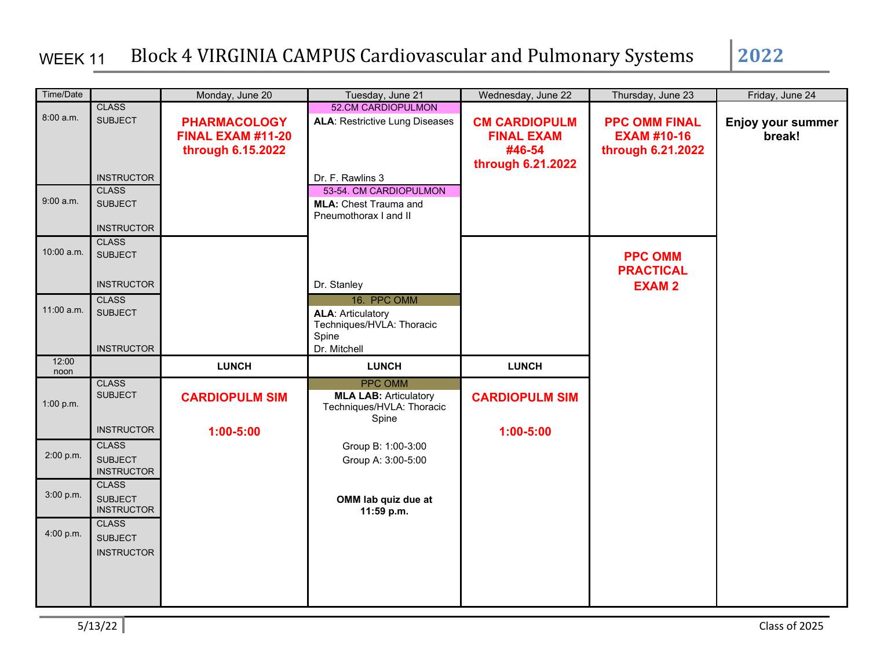| Time/Date   |                                                     | Monday, June 20                                               | Tuesday, June 21                                                                                    | Wednesday, June 22                                                       | Thursday, June 23                                               | Friday, June 24             |
|-------------|-----------------------------------------------------|---------------------------------------------------------------|-----------------------------------------------------------------------------------------------------|--------------------------------------------------------------------------|-----------------------------------------------------------------|-----------------------------|
| 8:00 a.m.   | <b>CLASS</b><br><b>SUBJECT</b>                      | <b>PHARMACOLOGY</b><br>FINAL EXAM #11-20<br>through 6.15.2022 | <b>52.CM CARDIOPULMON</b><br><b>ALA: Restrictive Lung Diseases</b>                                  | <b>CM CARDIOPULM</b><br><b>FINAL EXAM</b><br>#46-54<br>through 6.21.2022 | <b>PPC OMM FINAL</b><br><b>EXAM #10-16</b><br>through 6.21.2022 | Enjoy your summer<br>break! |
| $9:00$ a.m. | <b>INSTRUCTOR</b><br><b>CLASS</b><br><b>SUBJECT</b> |                                                               | Dr. F. Rawlins 3<br>53-54. CM CARDIOPULMON<br><b>MLA:</b> Chest Trauma and<br>Pneumothorax I and II |                                                                          |                                                                 |                             |
|             | <b>INSTRUCTOR</b>                                   |                                                               |                                                                                                     |                                                                          |                                                                 |                             |
| 10:00 a.m.  | <b>CLASS</b><br><b>SUBJECT</b><br><b>INSTRUCTOR</b> |                                                               | Dr. Stanley                                                                                         |                                                                          | <b>PPC OMM</b><br><b>PRACTICAL</b><br><b>EXAM2</b>              |                             |
| 11:00 a.m.  | <b>CLASS</b><br><b>SUBJECT</b>                      |                                                               | 16. PPC OMM<br><b>ALA: Articulatory</b><br>Techniques/HVLA: Thoracic<br>Spine                       |                                                                          |                                                                 |                             |
| 12:00       | <b>INSTRUCTOR</b>                                   |                                                               | Dr. Mitchell                                                                                        |                                                                          |                                                                 |                             |
| noon        |                                                     | <b>LUNCH</b>                                                  | <b>LUNCH</b>                                                                                        | <b>LUNCH</b>                                                             |                                                                 |                             |
| 1:00 p.m.   | <b>CLASS</b><br><b>SUBJECT</b>                      | <b>CARDIOPULM SIM</b>                                         | <b>PPC OMM</b><br><b>MLA LAB: Articulatory</b><br>Techniques/HVLA: Thoracic<br>Spine                | <b>CARDIOPULM SIM</b>                                                    |                                                                 |                             |
|             | <b>INSTRUCTOR</b>                                   | $1:00 - 5:00$                                                 |                                                                                                     | $1:00 - 5:00$                                                            |                                                                 |                             |
| 2:00 p.m.   | <b>CLASS</b><br><b>SUBJECT</b><br><b>INSTRUCTOR</b> |                                                               | Group B: 1:00-3:00<br>Group A: 3:00-5:00                                                            |                                                                          |                                                                 |                             |
| 3:00 p.m.   | <b>CLASS</b><br><b>SUBJECT</b><br><b>INSTRUCTOR</b> |                                                               | OMM lab quiz due at<br>11:59 p.m.                                                                   |                                                                          |                                                                 |                             |
| 4:00 p.m.   | <b>CLASS</b><br><b>SUBJECT</b><br><b>INSTRUCTOR</b> |                                                               |                                                                                                     |                                                                          |                                                                 |                             |
|             |                                                     |                                                               |                                                                                                     |                                                                          |                                                                 |                             |